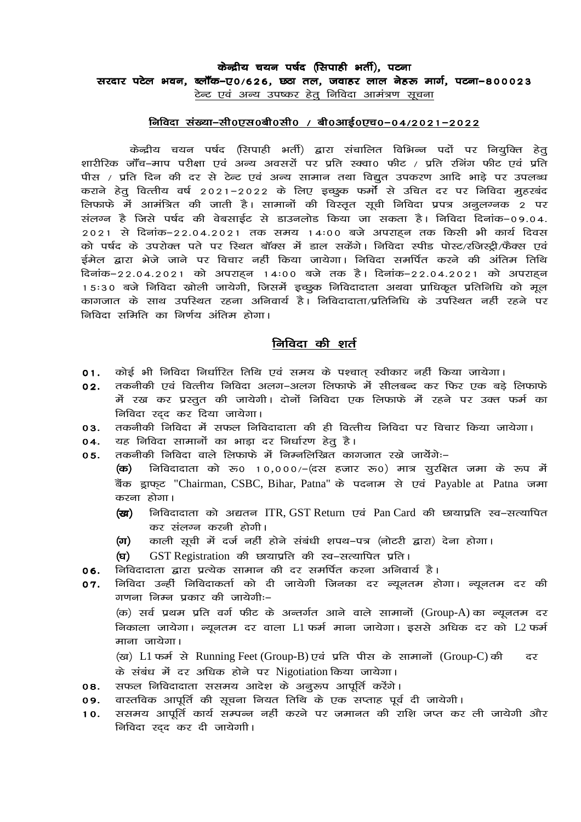# केन्द्रीय चयन पर्षद (सिपाही भर्ती), पटना

# सरदार पटेल भवन, ब्लॉक-ए०/626, छठा तल, जवाहर लाल नेहरू मार्ग, पटना-800023 टेन्ट एवं अन्य उपष्कर हेतु निविदा आमंत्रण सुचना

### <u> निविदा संख्या-सी0एस0बी0सी0 / बी0आई0एच0-04/2021-2022</u>

केन्द्रीय चयन पर्षद (सिपाही भर्ती) द्वारा संचालित विभिन्न पदों पर नियूक्ति हेतू शारीरिक जॉॅंच-माप परीक्षा एवं अन्य अवसरों पर प्रति स्क्वा0 फीट / प्रति रनिंग फीट एवं प्रति पीस / प्रति दिन की दर से टेन्ट एवं अन्य सामान तथा विद्युत उपकरण आदि भाडे पर उपलब्ध कराने हेतु वित्तीय वर्ष 2021–2022 के लिए इच्छुक फर्मो से उचित दर पर निविदा मुहरबंद लिफाफे में आमंत्रित की जाती है। सामानों की विस्तृत सूची निविदा प्रपत्र अनूलग्नक 2 पर संलग्न है जिसे पर्षद की वेबसाईट से डाउनलोड किया जा सकता है। निविदा दिनांक-09.04.  $2021$  से दिनांक–22.04.2021 तक समय 14:00 बजे अपराहन तक किसी भी कार्य दिवस को पर्षद के उपरोक्त पते पर रिथत बॉक्स में डाल सकेंगे। निविदा स्पीड पोस्ट/रजिस्ट्री/फैक्स एवं ईमेल द्वारा भेजे जाने पर विचार नहीं किया जायेगा। निविदा समर्पित करने की अंतिम तिथि दिनांक-22.04.2021 को अपराहन 14:00 बजे तक है। दिनांक-22.04.2021 को अपराहन 1 5:30 बजे निविदा खोली जायेगी, जिसमें इच्छूक निविदादाता अथवा प्राधिकृत प्रतिनिधि को मूल कागजात के साथ उपस्थित रहना अनिवार्य है। निविदादाता/प्रतिनिधि के उपस्थित नहीं रहने पर निविदा समिति का निर्णय अंतिम होगा।

# निविदा क<u>ी शर्त</u>

- कोई भी निविदा निर्धारित तिथि एवं समय के पश्चात स्वीकार नहीं किया जायेगा।  $01.$
- तकनीकी एवं वित्तीय निविदा अलग-अलग लिफाफे में सीलबन्द कर फिर एक बड़े लिफाफे  $02.$ में रख कर प्रस्तुत की जायेगी। दोनों निविदा एक लिफाफे में रहने पर उक्त फर्म का निविदा रदद कर दिया जायेगा।
- तकनीकी निविदा में सफल निविदादाता की ही वित्तीय निविदा पर विचार किया जायेगा। 03.
- यह निविदा सामानों का भाड़ा दर निर्धारण हेतु है।  $04.$
- तकनीकी निविदा वाले लिफाफे में निम्नलिखित कागजात रखे जायेंगेः–  $05.$ 
	- (क) निविदादाता को रू0 10,000/–(दस हजार रू0) मात्र सुरक्षित जमा के रूप में बैंक ड्राफ्ट "Chairman, CSBC, Bihar, Patna" के पदनाम से एवं Payable at Patna जमा करना होगा।
		- निविदादाता को अद्यतन ITR, GST Return एवं Pan Card की छायाप्रति स्व–सत्यापित **(ख)** कर संलग्न करनी होगी।
		- काली सूची में दर्ज नहीं होने संबंधी शपथ-पत्र (नोटरी द्वारा) देना होगा। (ग)
		- (घ) GST Registration की छायाप्रति की स्व-सत्यापित प्रति।
- निविदादाता द्वारा प्रत्येक सामान की दर समर्पित करना अनिवार्य है। 06.
- निविदा उन्हीं निविदाकर्ता को दी जायेगी जिनका दर न्यूनतम होगा। न्यूनतम दर की  $07.$ गणना निम्न प्रकार की जायेगीः–

(क) सर्व प्रथम प्रति वर्ग फीट के अन्तर्गत आने वाले सामानों (Group-A)का न्यूनतम दर निकाला जायेगा। न्युनतम दर वाला L1 फर्म माना जायेगा। इससे अधिक दर को L2 फर्म माना जायेगा।

(ख) L1 फर्म से Running Feet (Group-B) एवं प्रति पीस के सामानों (Group-C) की दर के संबंध में दर अधिक होने पर Nigotiation किया जायेगा।

- सफल निविदादाता ससमय आदेश के अनूरुप आपूर्ति करेंगे। 08.
- वास्तविक आपूर्ति की सूचना नियत तिथि के एक सप्ताह पूर्व दी जायेगी। 09.
- ससमय आपूर्ति कार्य सम्पन्न नहीं करने पर जमानत की राशि जप्त कर ली जायेगी और  $10.$ निविदा रदद कर दी जायेगाी।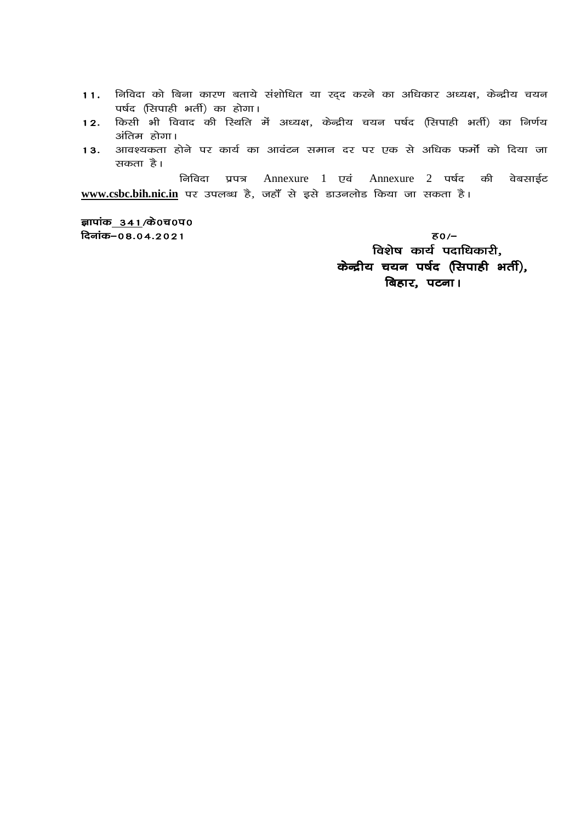- 11. निविदा को बिना कारण बताये संशोधित या रदद करने का अधिकार अध्यक्ष, केन्द्रीय चयन पर्षद (सिपाही भर्ती) का होगा।
- किसी भी विवाद की रिथति में अध्यक्ष, केन्द्रीय चयन पर्षद (सिपाही भर्ती) का निर्णय  $12.$  $3\overline{\mathrm{f}}$ तिम होगा।
- आवश्यकता होने पर कार्य का आवंटन समान दर पर एक से अधिक फर्मो को दिया जा  $13.$ सकता है।

निविदा प्रपत्र Annexure 1 एवं Annexure 2 पर्षद की वेबसाईट www.csbc.bih.nic.in पर उपलब्ध है, जहाँ से इसे डाउनलोड किया जा सकता है।

ज्ञापांक 341/के0च0प0 दिनांक-08.04.2021

**ह** $0/-$ विशेष कार्य पदाधिकारी, केन्द्रीय चयन पर्षद (सिपाही भर्ती), बिहार, पटना।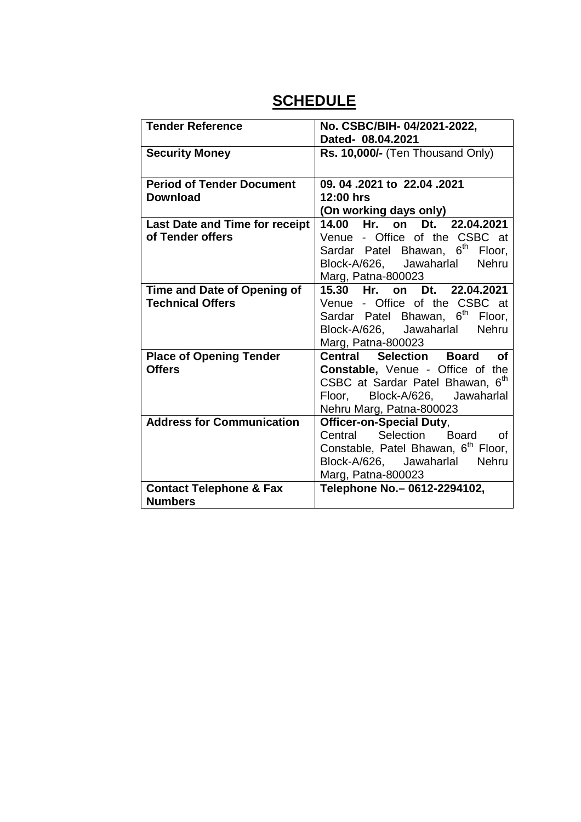# **SCHEDULE**

| <b>Tender Reference</b>            | No. CSBC/BIH-04/2021-2022,                      |
|------------------------------------|-------------------------------------------------|
|                                    | Dated- 08.04.2021                               |
| <b>Security Money</b>              | Rs. 10,000/- (Ten Thousand Only)                |
|                                    |                                                 |
| <b>Period of Tender Document</b>   | 09, 04, 2021 to 22.04, 2021                     |
| <b>Download</b>                    | 12:00 hrs                                       |
|                                    | (On working days only)                          |
| Last Date and Time for receipt     | 14.00 Hr. on Dt.<br>22.04.2021                  |
| of Tender offers                   | Venue - Office of the CSBC at                   |
|                                    | Sardar Patel Bhawan, 6 <sup>th</sup> Floor,     |
|                                    | Block-A/626, Jawaharlal<br><b>Nehru</b>         |
|                                    | Marg, Patna-800023                              |
| Time and Date of Opening of        | on Dt. 22.04.2021<br>15.30 Hr.                  |
| <b>Technical Offers</b>            | Venue - Office of the CSBC at                   |
|                                    | Sardar Patel Bhawan, 6 <sup>th</sup><br>Floor.  |
|                                    | Block-A/626, Jawaharlal Nehru                   |
|                                    | Marg, Patna-800023                              |
| <b>Place of Opening Tender</b>     | <b>Central Selection</b><br><b>Board</b><br>Οf  |
| <b>Offers</b>                      | Constable, Venue - Office of the                |
|                                    | CSBC at Sardar Patel Bhawan, 6th                |
|                                    | Floor, Block-A/626, Jawaharlal                  |
|                                    | Nehru Marg, Patna-800023                        |
| <b>Address for Communication</b>   | <b>Officer-on-Special Duty,</b>                 |
|                                    | Central Selection Board of                      |
|                                    | Constable, Patel Bhawan, 6 <sup>th</sup> Floor, |
|                                    | Block-A/626, Jawaharlal<br>Nehru                |
|                                    | Marg, Patna-800023                              |
| <b>Contact Telephone &amp; Fax</b> | Telephone No. - 0612-2294102,                   |
| <b>Numbers</b>                     |                                                 |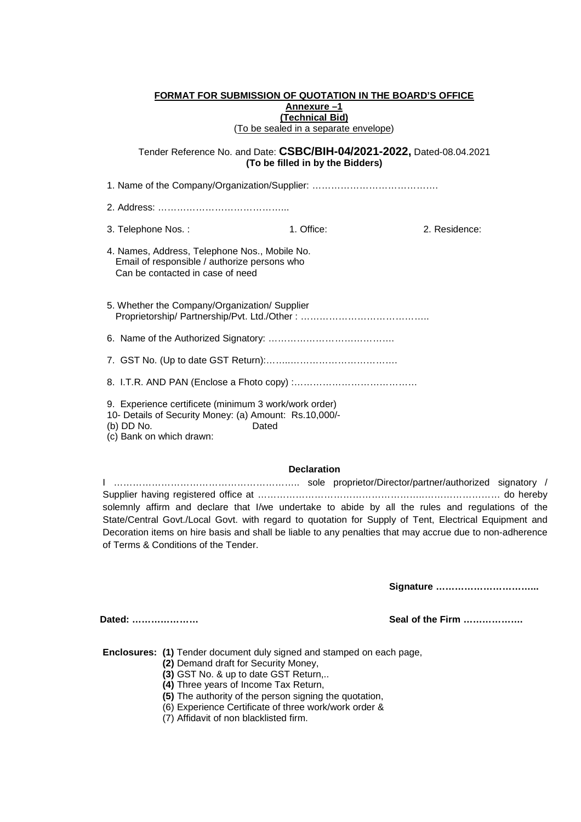#### **FORMAT FOR SUBMISSION OF QUOTATION IN THE BOARD'S OFFICE Annexure –1 (Technical Bid)**  (To be sealed in a separate envelope)

Tender Reference No. and Date: **CSBC/BIH-04/2021-2022,** Dated-08.04.2021 **(To be filled in by the Bidders)** 

| 3. Telephone Nos.:                                                                                                                                                  | 1. Office: | 2. Residence: |
|---------------------------------------------------------------------------------------------------------------------------------------------------------------------|------------|---------------|
| 4. Names, Address, Telephone Nos., Mobile No.<br>Email of responsible / authorize persons who<br>Can be contacted in case of need                                   |            |               |
| 5. Whether the Company/Organization/ Supplier                                                                                                                       |            |               |
|                                                                                                                                                                     |            |               |
|                                                                                                                                                                     |            |               |
|                                                                                                                                                                     |            |               |
| 9. Experience certificete (minimum 3 work/work order)<br>10- Details of Security Money: (a) Amount: Rs.10,000/-<br>$\sqrt{h} \cdot \overline{D} \cdot \overline{D}$ |            |               |

(b) DD No. Dated

(c) Bank on which drawn:

## **Declaration**

I ………………………………………………….. sole proprietor/Director/partner/authorized signatory / Supplier having registered office at ……………………………………………..…………………… do hereby solemnly affirm and declare that I/we undertake to abide by all the rules and regulations of the State/Central Govt./Local Govt. with regard to quotation for Supply of Tent, Electrical Equipment and Decoration items on hire basis and shall be liable to any penalties that may accrue due to non-adherence of Terms & Conditions of the Tender.

**Signature …………………………...** 

 **Dated: ………………… Seal of the Firm ……………….** 

**Enclosures: (1)** Tender document duly signed and stamped on each page,

- **(2)** Demand draft for Security Money,
- **(3)** GST No. & up to date GST Return,..
- **(4)** Three years of Income Tax Return,
- **(5)** The authority of the person signing the quotation,
- (6) Experience Certificate of three work/work order &
- (7) Affidavit of non blacklisted firm.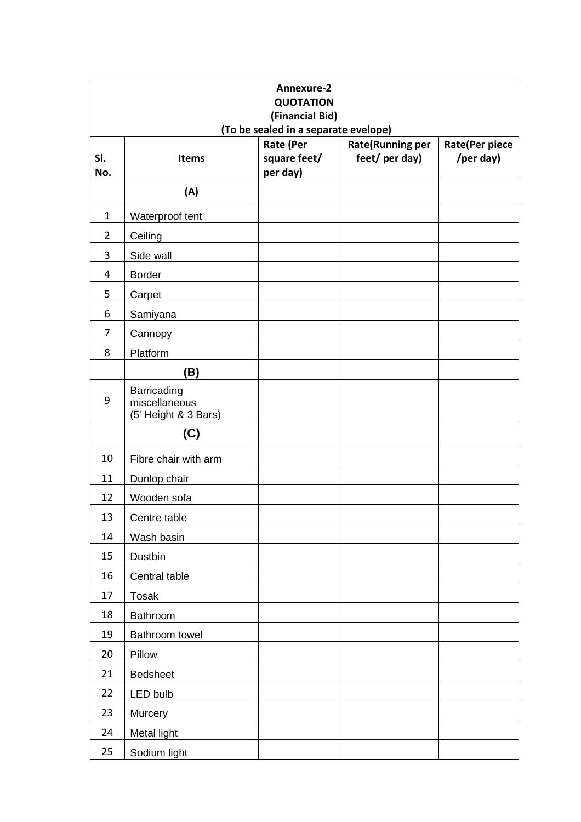| Annexure-2<br><b>QUOTATION</b>                          |                                                      |                                              |                                           |                                    |  |
|---------------------------------------------------------|------------------------------------------------------|----------------------------------------------|-------------------------------------------|------------------------------------|--|
| (Financial Bid)<br>(To be sealed in a separate evelope) |                                                      |                                              |                                           |                                    |  |
| SI.<br>No.                                              | <b>Items</b>                                         | <b>Rate (Per</b><br>square feet/<br>per day) | <b>Rate(Running per</b><br>feet/ per day) | <b>Rate(Per piece</b><br>/per day) |  |
|                                                         | (A)                                                  |                                              |                                           |                                    |  |
| $\mathbf{1}$                                            | Waterproof tent                                      |                                              |                                           |                                    |  |
| $\overline{2}$                                          | Ceiling                                              |                                              |                                           |                                    |  |
| 3                                                       | Side wall                                            |                                              |                                           |                                    |  |
| 4                                                       | <b>Border</b>                                        |                                              |                                           |                                    |  |
| 5                                                       | Carpet                                               |                                              |                                           |                                    |  |
| 6                                                       | Samiyana                                             |                                              |                                           |                                    |  |
| $\overline{7}$                                          | Cannopy                                              |                                              |                                           |                                    |  |
| 8                                                       | Platform                                             |                                              |                                           |                                    |  |
|                                                         | (B)                                                  |                                              |                                           |                                    |  |
| 9                                                       | Barricading<br>miscellaneous<br>(5' Height & 3 Bars) |                                              |                                           |                                    |  |
|                                                         | (C)                                                  |                                              |                                           |                                    |  |
| 10                                                      | Fibre chair with arm                                 |                                              |                                           |                                    |  |
| 11                                                      | Dunlop chair                                         |                                              |                                           |                                    |  |
| 12                                                      | Wooden sofa                                          |                                              |                                           |                                    |  |
| 13                                                      | Centre table                                         |                                              |                                           |                                    |  |
| 14                                                      | Wash basin                                           |                                              |                                           |                                    |  |
| 15                                                      | Dustbin                                              |                                              |                                           |                                    |  |
| 16                                                      | Central table                                        |                                              |                                           |                                    |  |
| 17                                                      | Tosak                                                |                                              |                                           |                                    |  |
| 18                                                      | Bathroom                                             |                                              |                                           |                                    |  |
| 19                                                      | Bathroom towel                                       |                                              |                                           |                                    |  |
| 20                                                      | Pillow                                               |                                              |                                           |                                    |  |
| 21                                                      | <b>Bedsheet</b>                                      |                                              |                                           |                                    |  |
| 22                                                      | LED bulb                                             |                                              |                                           |                                    |  |
| 23                                                      | Murcery                                              |                                              |                                           |                                    |  |
| 24                                                      | Metal light                                          |                                              |                                           |                                    |  |
| 25                                                      | Sodium light                                         |                                              |                                           |                                    |  |